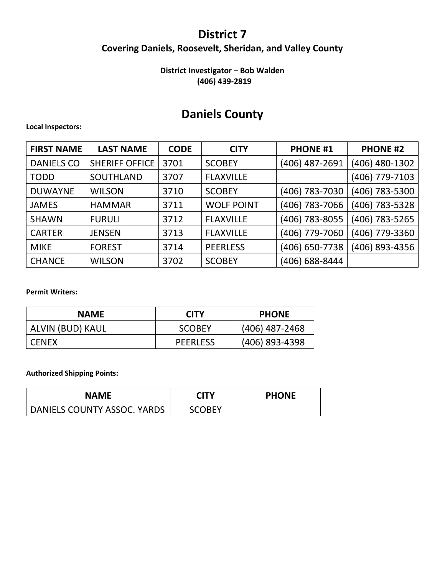### **District 7 Covering Daniels, Roosevelt, Sheridan, and Valley County**

### **District Investigator – Bob Walden (406) 439-2819**

## **Daniels County**

#### **Local Inspectors:**

| <b>FIRST NAME</b> | <b>LAST NAME</b>      | <b>CODE</b> | <b>CITY</b>       | <b>PHONE #1</b> | <b>PHONE #2</b> |
|-------------------|-----------------------|-------------|-------------------|-----------------|-----------------|
| <b>DANIELS CO</b> | <b>SHERIFF OFFICE</b> | 3701        | <b>SCOBEY</b>     | (406) 487-2691  | (406) 480-1302  |
| <b>TODD</b>       | SOUTHLAND             | 3707        | <b>FLAXVILLE</b>  |                 | (406) 779-7103  |
| <b>DUWAYNE</b>    | <b>WILSON</b>         | 3710        | <b>SCOBEY</b>     | (406) 783-7030  | (406) 783-5300  |
| <b>JAMES</b>      | <b>HAMMAR</b>         | 3711        | <b>WOLF POINT</b> | (406) 783-7066  | (406) 783-5328  |
| <b>SHAWN</b>      | <b>FURULI</b>         | 3712        | <b>FLAXVILLE</b>  | (406) 783-8055  | (406) 783-5265  |
| <b>CARTER</b>     | <b>JENSEN</b>         | 3713        | <b>FLAXVILLE</b>  | (406) 779-7060  | (406) 779-3360  |
| <b>MIKE</b>       | <b>FOREST</b>         | 3714        | <b>PEERLESS</b>   | (406) 650-7738  | (406) 893-4356  |
| <b>CHANCE</b>     | <b>WILSON</b>         | 3702        | <b>SCOBEY</b>     | (406) 688-8444  |                 |

#### **Permit Writers:**

| <b>NAME</b>      | <b>CITY</b>     | <b>PHONE</b>     |
|------------------|-----------------|------------------|
| ALVIN (BUD) KAUL | <b>SCOBEY</b>   | $(406)$ 487-2468 |
| <b>CENEX</b>     | <b>PEERLESS</b> | $(406)$ 893-4398 |

| <b>NAME</b>                 | <b>CITY</b>   | <b>PHONE</b> |
|-----------------------------|---------------|--------------|
| DANIELS COUNTY ASSOC. YARDS | <b>SCOBEY</b> |              |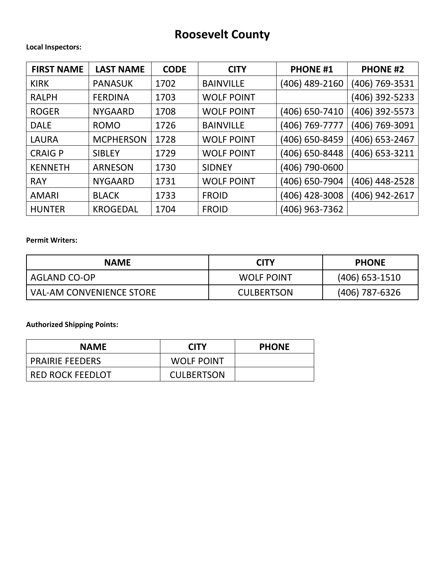# **Roosevelt County**

#### **Local Inspectors:**

| <b>FIRST NAME</b> | <b>LAST NAME</b> | <b>CODE</b> | <b>CITY</b>       | <b>PHONE #1</b> | <b>PHONE #2</b> |
|-------------------|------------------|-------------|-------------------|-----------------|-----------------|
| <b>KIRK</b>       | <b>PANASUK</b>   | 1702        | <b>BAINVILLE</b>  | (406) 489-2160  | (406) 769-3531  |
| <b>RALPH</b>      | <b>FERDINA</b>   | 1703        | <b>WOLF POINT</b> |                 | (406) 392-5233  |
| <b>ROGER</b>      | <b>NYGAARD</b>   | 1708        | <b>WOLF POINT</b> | (406) 650-7410  | (406) 392-5573  |
| <b>DALE</b>       | <b>ROMO</b>      | 1726        | <b>BAINVILLE</b>  | (406) 769-7777  | (406) 769-3091  |
| <b>LAURA</b>      | <b>MCPHERSON</b> | 1728        | <b>WOLF POINT</b> | (406) 650-8459  | (406) 653-2467  |
| <b>CRAIGP</b>     | <b>SIBLEY</b>    | 1729        | <b>WOLF POINT</b> | (406) 650-8448  | (406) 653-3211  |
| <b>KENNETH</b>    | <b>ARNESON</b>   | 1730        | <b>SIDNEY</b>     | (406) 790-0600  |                 |
| <b>RAY</b>        | <b>NYGAARD</b>   | 1731        | <b>WOLF POINT</b> | (406) 650-7904  | (406) 448-2528  |
| <b>AMARI</b>      | <b>BLACK</b>     | 1733        | <b>FROID</b>      | (406) 428-3008  | (406) 942-2617  |
| <b>HUNTER</b>     | <b>KROGEDAL</b>  | 1704        | <b>FROID</b>      | (406) 963-7362  |                 |

#### **Permit Writers:**

| <b>NAME</b>                     | <b>CITY</b>       | <b>PHONE</b>     |
|---------------------------------|-------------------|------------------|
| <b>AGLAND CO-OP</b>             | <b>WOLF POINT</b> | $(406)$ 653-1510 |
| <b>VAL-AM CONVENIENCE STORE</b> | <b>CULBERTSON</b> | (406) 787-6326   |

| <b>NAME</b>             | <b>CITY</b>       | <b>PHONE</b> |
|-------------------------|-------------------|--------------|
| <b>PRAIRIE FEEDERS</b>  | <b>WOLF POINT</b> |              |
| <b>RED ROCK FEEDLOT</b> | <b>CULBERTSON</b> |              |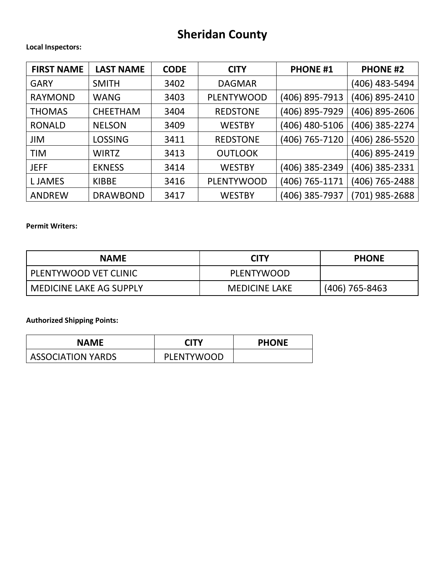# **Sheridan County**

#### **Local Inspectors:**

| <b>FIRST NAME</b> | <b>LAST NAME</b> | <b>CODE</b> | <b>CITY</b>       | <b>PHONE #1</b> | <b>PHONE #2</b> |
|-------------------|------------------|-------------|-------------------|-----------------|-----------------|
| <b>GARY</b>       | <b>SMITH</b>     | 3402        | <b>DAGMAR</b>     |                 | (406) 483-5494  |
| <b>RAYMOND</b>    | <b>WANG</b>      | 3403        | <b>PLENTYWOOD</b> | (406) 895-7913  | (406) 895-2410  |
| <b>THOMAS</b>     | <b>CHEETHAM</b>  | 3404        | <b>REDSTONE</b>   | (406) 895-7929  | (406) 895-2606  |
| <b>RONALD</b>     | <b>NELSON</b>    | 3409        | <b>WESTBY</b>     | (406) 480-5106  | (406) 385-2274  |
| <b>JIM</b>        | <b>LOSSING</b>   | 3411        | <b>REDSTONE</b>   | (406) 765-7120  | (406) 286-5520  |
| <b>TIM</b>        | <b>WIRTZ</b>     | 3413        | <b>OUTLOOK</b>    |                 | (406) 895-2419  |
| <b>JEFF</b>       | <b>EKNESS</b>    | 3414        | <b>WESTBY</b>     | (406) 385-2349  | (406) 385-2331  |
| <b>LJAMES</b>     | <b>KIBBE</b>     | 3416        | <b>PLENTYWOOD</b> | (406) 765-1171  | (406) 765-2488  |
| <b>ANDREW</b>     | <b>DRAWBOND</b>  | 3417        | <b>WESTBY</b>     | (406) 385-7937  | (701) 985-2688  |

#### **Permit Writers:**

| <b>NAME</b>               | <b>CITY</b>          | <b>PHONE</b>     |
|---------------------------|----------------------|------------------|
| PLENTYWOOD VET CLINIC     | PLENTYWOOD           |                  |
| l MEDICINE LAKE AG SUPPLY | <b>MEDICINE LAKE</b> | $(406)$ 765-8463 |

| <b>NAME</b>              | <b>CITY</b>       | <b>PHONE</b> |
|--------------------------|-------------------|--------------|
| <b>ASSOCIATION YARDS</b> | <b>PLENTYWOOD</b> |              |